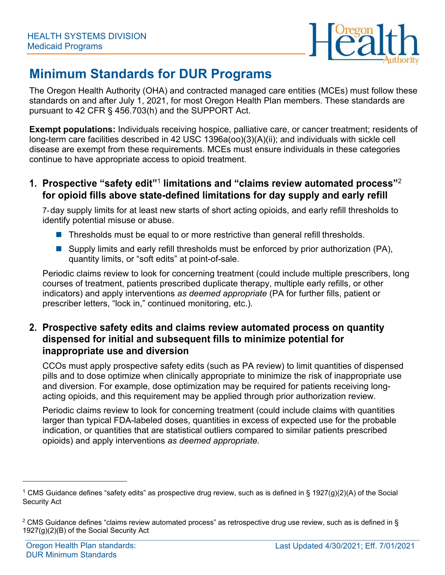

# **Minimum Standards for DUR Programs**

The Oregon Health Authority (OHA) and contracted managed care entities (MCEs) must follow these standards on and after July 1, 2021, for most Oregon Health Plan members. These standards are pursuant to 42 CFR § 456.703(h) and the SUPPORT Act.

**Exempt populations:** Individuals receiving hospice, palliative care, or cancer treatment; residents of long-term care facilities described in 42 USC 1396a(oo)(3)(A)(ii); and individuals with sickle cell disease are exempt from these requirements. MCEs must ensure individuals in these categories continue to have appropriate access to opioid treatment.

**1. Prospective "safety edit"**<sup>1</sup> **limitations and "claims review automated process"**<sup>2</sup> **for opioid fills above state-defined limitations for day supply and early refill** 

7- day supply limits for at least new starts of short acting opioids, and early refill thresholds to identify potential misuse or abuse.

- Thresholds must be equal to or more restrictive than general refill thresholds.
- Supply limits and early refill thresholds must be enforced by prior authorization (PA), quantity limits, or "soft edits" at point-of-sale.

Periodic claims review to look for concerning treatment (could include multiple prescribers, long courses of treatment, patients prescribed duplicate therapy, multiple early refills, or other indicators) and apply interventions *as deemed appropriate* (PA for further fills, patient or prescriber letters, "lock in," continued monitoring, etc.).

### **2. Prospective safety edits and claims review automated process on quantity dispensed for initial and subsequent fills to minimize potential for inappropriate use and diversion**

CCOs must apply prospective safety edits (such as PA review) to limit quantities of dispensed pills and to dose optimize when clinically appropriate to minimize the risk of inappropriate use and diversion. For example, dose optimization may be required for patients receiving longacting opioids, and this requirement may be applied through prior authorization review.

Periodic claims review to look for concerning treatment (could include claims with quantities larger than typical FDA-labeled doses, quantities in excess of expected use for the probable indication, or quantities that are statistical outliers compared to similar patients prescribed opioids) and apply interventions *as deemed appropriate.*

<sup>&</sup>lt;sup>1</sup> CMS Guidance defines "safety edits" as prospective drug review, such as is defined in § 1927(g)(2)(A) of the Social Security Act

<sup>&</sup>lt;sup>2</sup> CMS Guidance defines "claims review automated process" as retrospective drug use review, such as is defined in § 1927(g)(2)(B) of the Social Security Act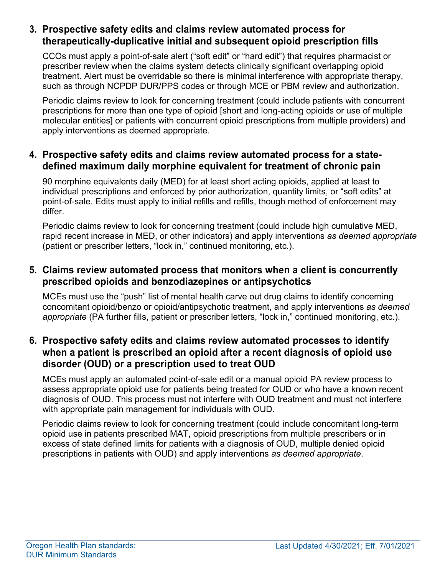### **3. Prospective safety edits and claims review automated process for therapeutically-duplicative initial and subsequent opioid prescription fills**

CCOs must apply a point-of-sale alert ("soft edit" or "hard edit") that requires pharmacist or prescriber review when the claims system detects clinically significant overlapping opioid treatment. Alert must be overridable so there is minimal interference with appropriate therapy, such as through NCPDP DUR/PPS codes or through MCE or PBM review and authorization.

Periodic claims review to look for concerning treatment (could include patients with concurrent prescriptions for more than one type of opioid [short and long-acting opioids or use of multiple molecular entities] or patients with concurrent opioid prescriptions from multiple providers) and apply interventions as deemed appropriate.

### **4. Prospective safety edits and claims review automated process for a statedefined maximum daily morphine equivalent for treatment of chronic pain**

90 morphine equivalents daily (MED) for at least short acting opioids, applied at least to individual prescriptions and enforced by prior authorization, quantity limits, or "soft edits" at point-of-sale. Edits must apply to initial refills and refills, though method of enforcement may differ.

Periodic claims review to look for concerning treatment (could include high cumulative MED, rapid recent increase in MED, or other indicators) and apply interventions *as deemed appropriate*  (patient or prescriber letters, "lock in," continued monitoring, etc.).

### **5. Claims review automated process that monitors when a client is concurrently prescribed opioids and benzodiazepines or antipsychotics**

MCEs must use the "push" list of mental health carve out drug claims to identify concerning concomitant opioid/benzo or opioid/antipsychotic treatment, and apply interventions *as deemed appropriate* (PA further fills, patient or prescriber letters, "lock in," continued monitoring, etc.).

#### **6. Prospective safety edits and claims review automated processes to identify when a patient is prescribed an opioid after a recent diagnosis of opioid use disorder (OUD) or a prescription used to treat OUD**

MCEs must apply an automated point-of-sale edit or a manual opioid PA review process to assess appropriate opioid use for patients being treated for OUD or who have a known recent diagnosis of OUD. This process must not interfere with OUD treatment and must not interfere with appropriate pain management for individuals with OUD.

Periodic claims review to look for concerning treatment (could include concomitant long-term opioid use in patients prescribed MAT, opioid prescriptions from multiple prescribers or in excess of state defined limits for patients with a diagnosis of OUD, multiple denied opioid prescriptions in patients with OUD) and apply interventions *as deemed appropriate*.